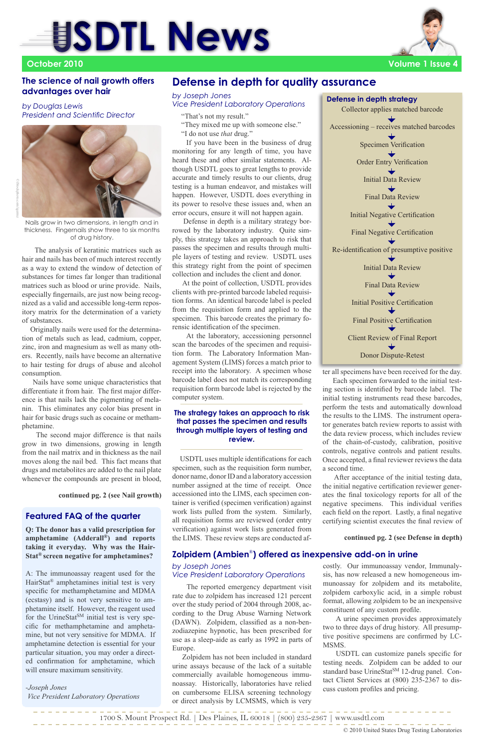"That's not my result."

- "They mixed me up with someone else."
- "I do not use *that* drug."

 If you have been in the business of drug monitoring for any length of time, you have heard these and other similar statements. Although USDTL goes to great lengths to provide accurate and timely results to our clients, drug testing is a human endeavor, and mistakes will happen. However, USDTL does everything in its power to resolve these issues and, when an error occurs, ensure it will not happen again.

 Defense in depth is a military strategy borrowed by the laboratory industry. Quite simply, this strategy takes an approach to risk that passes the specimen and results through multiple layers of testing and review. USDTL uses this strategy right from the point of specimen collection and includes the client and donor.

 At the point of collection, USDTL provides clients with pre-printed barcode labeled requisition forms. An identical barcode label is peeled from the requisition form and applied to the specimen. This barcode creates the primary forensic identification of the specimen.

 At the laboratory, accessioning personnel scan the barcodes of the specimen and requisition form. The Laboratory Information Management System (LIMS) forces a match prior to receipt into the laboratory. A specimen whose barcode label does not match its corresponding requisition form barcode label is rejected by the computer system.

 USDTL uses multiple identifications for each specimen, such as the requisition form number, donor name, donor ID and a laboratory accession number assigned at the time of receipt. Once accessioned into the LIMS, each specimen container is verified (specimen verification) against work lists pulled from the system. Similarly, all requisition forms are reviewed (order entry verification) against work lists generated from the LIMS. These review steps are conducted af-

**continued pg. 2 (see Nail growth)**

#### **The strategy takes an approach to risk that passes the specimen and results through multiple layers of testing and review.**

 The analysis of keratinic matrices such as hair and nails has been of much interest recently as a way to extend the window of detection of substances for times far longer than traditional matrices such as blood or urine provide. Nails, especially fingernails, are just now being recognized as a valid and accessible long-term repository matrix for the determination of a variety of substances.

 Originally nails were used for the determination of metals such as lead, cadmium, copper, zinc, iron and magnesium as well as many others. Recently, nails have become an alternative to hair testing for drugs of abuse and alcohol consumption.

 Nails have some unique characteristics that differentiate it from hair. The first major difference is that nails lack the pigmenting of melanin. This eliminates any color bias present in hair for basic drugs such as cocaine or methamphetamine.

 The second major difference is that nails grow in two dimensions, growing in length from the nail matrix and in thickness as the nail moves along the nail bed. This fact means that drugs and metabolites are added to the nail plate whenever the compounds are present in blood,

# **SDTL News**



#### **The science of nail growth offers advantages over hair**

*by Douglas Lewis President and Scientific Director*



ter all specimens have been received for the day.

 Each specimen forwarded to the initial testing section is identified by barcode label. The initial testing instruments read these barcodes, perform the tests and automatically download the results to the LIMS. The instrument operator generates batch review reports to assist with the data review process, which includes review of the chain-of-custody, calibration, positive controls, negative controls and patient results. Once accepted, a final reviewer reviews the data a second time.

 After acceptance of the initial testing data, the initial negative certification reviewer generates the final toxicology reports for all of the negative specimens. This individual verifies each field on the report. Lastly, a final negative certifying scientist executes the final review of

### **Defense in depth for quality assurance**

#### *by Joseph Jones Vice President Laboratory Operations*

**Q: The donor has a valid prescription for amphetamine (Adderall®) and reports taking it everyday. Why was the Hair-Stat® screen negative for amphetamines?**

A: The immunoassay reagent used for the HairStat® amphetamines initial test is very specific for methamphetamine and MDMA (ecstasy) and is not very sensitive to amphetamine itself. However, the reagent used for the UrineStat<sup>SM</sup> initial test is very specific for methamphetamine and amphetamine, but not very sensitive for MDMA. If amphetamine detection is essential for your particular situation, you may order a directed confirmation for amphetamine, which will ensure maximum sensitivity.

#### *-Joseph Jones Vice President Laboratory Operations*

#### **Featured FAQ of the quarter**

1700 S. Mount Prospect Rd. | Des Plaines, IL 60018 | (800) 235-2367 | www.usdtl.com

© 2010 United States Drug Testing Laboratories

 The reported emergency department visit rate due to zolpidem has increased 121 percent over the study period of 2004 through 2008, according to the Drug Abuse Warning Network (DAWN). Zolpidem, classified as a non-benzodiazepine hypnotic, has been prescribed for use as a sleep-aide as early as 1992 in parts of Europe.

 Zolpidem has not been included in standard urine assays because of the lack of a suitable commercially available homogeneous immunoassay. Historically, laboratories have relied on cumbersome ELISA screening technology or direct analysis by LCMSMS, which is very

#### **Zolpidem (Ambien**®**) offered as inexpensive add-on in urine**

#### *by Joseph Jones Vice President Laboratory Operations*

costly. Our immunoassay vendor, Immunalysis, has now released a new homogeneous immunoassay for zolpidem and its metabolite, zolpidem carboxylic acid, in a simple robust format, allowing zolpidem to be an inexpensive constituent of any custom profile.

 A urine specimen provides approximately two to three days of drug history. All presumptive positive specimens are confirmed by LC-MSMS.

 USDTL can customize panels specific for testing needs. Zolpidem can be added to our standard base UrineStat<sup>SM</sup> 12-drug panel. Contact Client Services at (800) 235-2367 to discuss custom profiles and pricing.

#### **continued pg. 2 (see Defense in depth)**

Nails grow in two dimensions, in length and in thickness. Fingernails show three to six months of drug history.



**Volume 1 Issue 4**